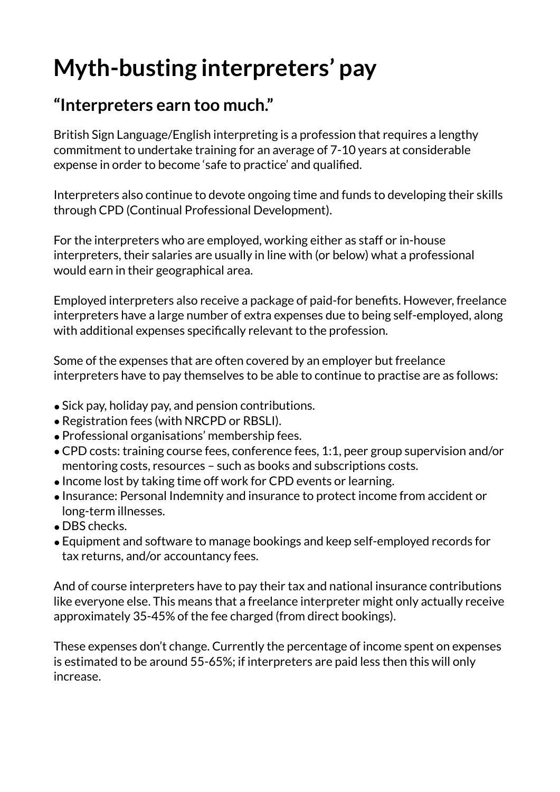# **Myth-busting interpreters' pay**

#### **"Interpreters earn too much."**

British Sign Language/English interpreting is a profession that requires a lengthy commitment to undertake training for an average of 7-10 years at considerable expense in order to become 'safe to practice' and qualified.

Interpreters also continue to devote ongoing time and funds to developing their skills through CPD (Continual Professional Development).

For the interpreters who are employed, working either as staff or in-house interpreters, their salaries are usually in line with (or below) what a professional would earn in their geographical area.

Employed interpreters also receive a package of paid-for benefits. However, freelance interpreters have a large number of extra expenses due to being self-employed, along with additional expenses specifically relevant to the profession.

Some of the expenses that are often covered by an employer but freelance interpreters have to pay themselves to be able to continue to practise are as follows:

- •Sick pay, holiday pay, and pension contributions.
- •Registration fees (with NRCPD or RBSLI).
- •Professional organisations' membership fees.
- •CPD costs: training course fees, conference fees, 1:1, peer group supervision and/or mentoring costs, resources – such as books and subscriptions costs.
- •Income lost by taking time off work for CPD events or learning.
- •Insurance: Personal Indemnity and insurance to protect income from accident or long-term illnesses.
- DBS checks.
- •Equipment and software to manage bookings and keep self-employed records for tax returns, and/or accountancy fees.

And of course interpreters have to pay their tax and national insurance contributions like everyone else. This means that a freelance interpreter might only actually receive approximately 35-45% of the fee charged (from direct bookings).

These expenses don't change. Currently the percentage of income spent on expenses is estimated to be around 55-65%; if interpreters are paid less then this will only increase.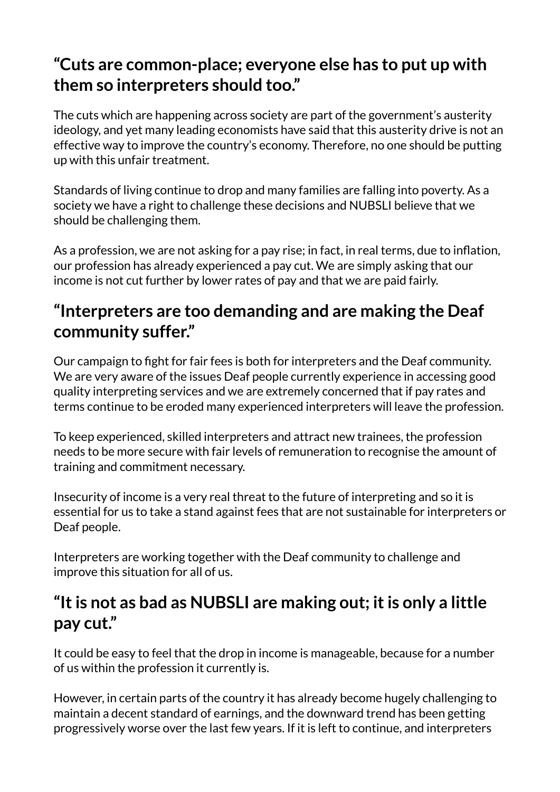### **"Cuts are common-place; everyone else has to put up with them so interpreters should too."**

The cuts which are happening across society are part of the government's austerity ideology, and yet many leading economists have said that this austerity drive is not an effective way to improve the country's economy. Therefore, no one should be putting up with this unfair treatment.

Standards of living continue to drop and many families are falling into poverty. As a society we have a right to challenge these decisions and NUBSLI believe that we should be challenging them.

As a profession, we are not asking for a pay rise; in fact, in real terms, due to inflation, our profession has already experienced a pay cut. We are simply asking that our income is not cut further by lower rates of pay and that we are paid fairly.

## **"Interpreters are too demanding and are making the Deaf community suffer."**

Our campaign to fight for fair fees is both for interpreters and the Deaf community. We are very aware of the issues Deaf people currently experience in accessing good quality interpreting services and we are extremely concerned that if pay rates and terms continue to be eroded many experienced interpreters will leave the profession.

To keep experienced, skilled interpreters and attract new trainees, the profession needs to be more secure with fair levels of remuneration to recognise the amount of training and commitment necessary.

Insecurity of income is a very real threat to the future of interpreting and so it is essential for us to take a stand against fees that are not sustainable for interpreters or Deaf people.

Interpreters are working together with the Deaf community to challenge and improve this situation for all of us.

### **"It is not as bad as NUBSLI are making out; it is only a little pay cut."**

It could be easy to feel that the drop in income is manageable, because for a number of us within the profession it currently is.

However, in certain parts of the country it has already become hugely challenging to maintain a decent standard of earnings, and the downward trend has been getting progressively worse over the last few years. If it is left to continue, and interpreters